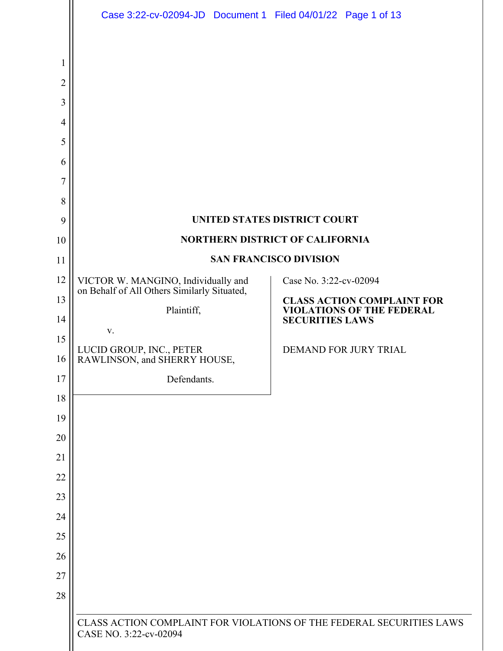|                | Case 3:22-cv-02094-JD  Document 1  Filed 04/01/22  Page 1 of 13                    |                                                                      |  |
|----------------|------------------------------------------------------------------------------------|----------------------------------------------------------------------|--|
|                |                                                                                    |                                                                      |  |
| 1              |                                                                                    |                                                                      |  |
| $\overline{2}$ |                                                                                    |                                                                      |  |
| 3              |                                                                                    |                                                                      |  |
| $\overline{4}$ |                                                                                    |                                                                      |  |
| 5              |                                                                                    |                                                                      |  |
| 6              |                                                                                    |                                                                      |  |
| 7              |                                                                                    |                                                                      |  |
| 8              |                                                                                    |                                                                      |  |
| 9              | <b>UNITED STATES DISTRICT COURT</b>                                                |                                                                      |  |
| 10             | <b>NORTHERN DISTRICT OF CALIFORNIA</b><br><b>SAN FRANCISCO DIVISION</b>            |                                                                      |  |
| 11<br>12       |                                                                                    |                                                                      |  |
| 13             | VICTOR W. MANGINO, Individually and<br>on Behalf of All Others Similarly Situated, | Case No. 3:22-cv-02094<br><b>CLASS ACTION COMPLAINT FOR</b>          |  |
| 14             | Plaintiff,                                                                         | <b>VIOLATIONS OF THE FEDERAL</b><br><b>SECURITIES LAWS</b>           |  |
| 15             | V.                                                                                 |                                                                      |  |
| 16             | LUCID GROUP, INC., PETER<br>RAWLINSON, and SHERRY HOUSE,                           | DEMAND FOR JURY TRIAL                                                |  |
| 17             | Defendants.                                                                        |                                                                      |  |
| 18             |                                                                                    |                                                                      |  |
| 19             |                                                                                    |                                                                      |  |
| 20             |                                                                                    |                                                                      |  |
| 21             |                                                                                    |                                                                      |  |
| 22             |                                                                                    |                                                                      |  |
| 23             |                                                                                    |                                                                      |  |
| 24             |                                                                                    |                                                                      |  |
| 25             |                                                                                    |                                                                      |  |
| 26             |                                                                                    |                                                                      |  |
| 27             |                                                                                    |                                                                      |  |
| 28             |                                                                                    |                                                                      |  |
|                | CASE NO. 3:22-cv-02094                                                             | CLASS ACTION COMPLAINT FOR VIOLATIONS OF THE FEDERAL SECURITIES LAWS |  |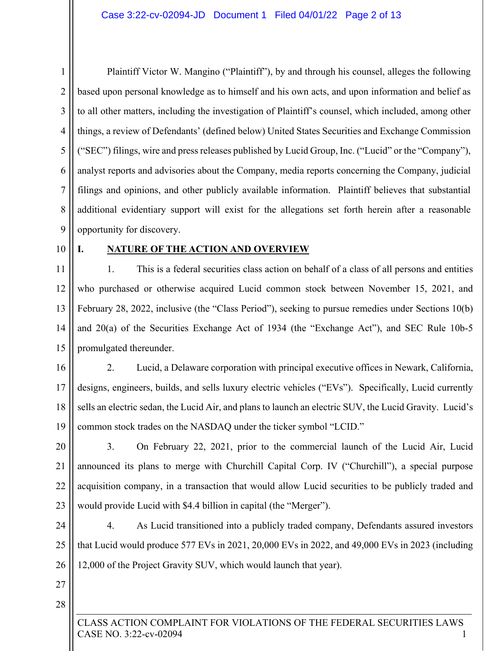1 2 3 4 5 6 7 8 9 Plaintiff Victor W. Mangino ("Plaintiff"), by and through his counsel, alleges the following based upon personal knowledge as to himself and his own acts, and upon information and belief as to all other matters, including the investigation of Plaintiff's counsel, which included, among other things, a review of Defendants' (defined below) United States Securities and Exchange Commission ("SEC") filings, wire and press releases published by Lucid Group, Inc. ("Lucid" or the "Company"), analyst reports and advisories about the Company, media reports concerning the Company, judicial filings and opinions, and other publicly available information. Plaintiff believes that substantial additional evidentiary support will exist for the allegations set forth herein after a reasonable opportunity for discovery.

10

#### **I. NATURE OF THE ACTION AND OVERVIEW**

11 12 13 14 15 1. This is a federal securities class action on behalf of a class of all persons and entities who purchased or otherwise acquired Lucid common stock between November 15, 2021, and February 28, 2022, inclusive (the "Class Period"), seeking to pursue remedies under Sections 10(b) and 20(a) of the Securities Exchange Act of 1934 (the "Exchange Act"), and SEC Rule 10b-5 promulgated thereunder.

16 17 18 19 2. Lucid, a Delaware corporation with principal executive offices in Newark, California, designs, engineers, builds, and sells luxury electric vehicles ("EVs"). Specifically, Lucid currently sells an electric sedan, the Lucid Air, and plans to launch an electric SUV, the Lucid Gravity. Lucid's common stock trades on the NASDAQ under the ticker symbol "LCID."

20 21 22 23 3. On February 22, 2021, prior to the commercial launch of the Lucid Air, Lucid announced its plans to merge with Churchill Capital Corp. IV ("Churchill"), a special purpose acquisition company, in a transaction that would allow Lucid securities to be publicly traded and would provide Lucid with \$4.4 billion in capital (the "Merger").

24 25 26 4. As Lucid transitioned into a publicly traded company, Defendants assured investors that Lucid would produce 577 EVs in 2021, 20,000 EVs in 2022, and 49,000 EVs in 2023 (including 12,000 of the Project Gravity SUV, which would launch that year).

- 27
- 28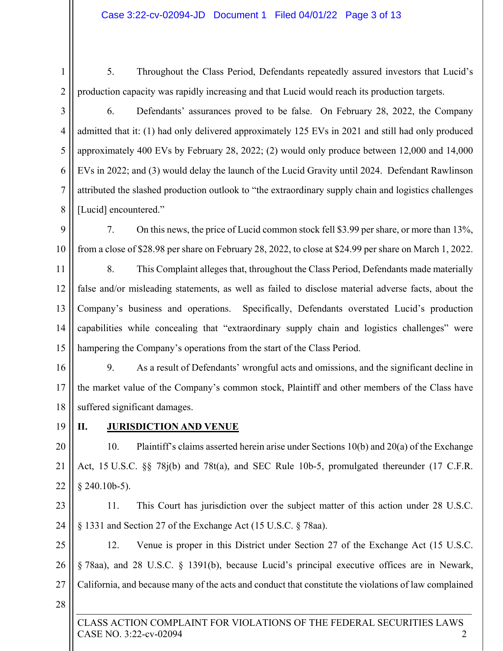1

5. Throughout the Class Period, Defendants repeatedly assured investors that Lucid's production capacity was rapidly increasing and that Lucid would reach its production targets.

2

3 4 5 6 7 8 6. Defendants' assurances proved to be false. On February 28, 2022, the Company admitted that it: (1) had only delivered approximately 125 EVs in 2021 and still had only produced approximately 400 EVs by February 28, 2022; (2) would only produce between 12,000 and 14,000 EVs in 2022; and (3) would delay the launch of the Lucid Gravity until 2024. Defendant Rawlinson attributed the slashed production outlook to "the extraordinary supply chain and logistics challenges [Lucid] encountered."

9 10 7. On this news, the price of Lucid common stock fell \$3.99 per share, or more than 13%, from a close of \$28.98 per share on February 28, 2022, to close at \$24.99 per share on March 1, 2022.

11 12 13 14 15 8. This Complaint alleges that, throughout the Class Period, Defendants made materially false and/or misleading statements, as well as failed to disclose material adverse facts, about the Company's business and operations. Specifically, Defendants overstated Lucid's production capabilities while concealing that "extraordinary supply chain and logistics challenges" were hampering the Company's operations from the start of the Class Period.

16 17 18 9. As a result of Defendants' wrongful acts and omissions, and the significant decline in the market value of the Company's common stock, Plaintiff and other members of the Class have suffered significant damages.

19

# **II. JURISDICTION AND VENUE**

20 21 22 10. Plaintiff's claims asserted herein arise under Sections 10(b) and 20(a) of the Exchange Act, 15 U.S.C. §§ 78j(b) and 78t(a), and SEC Rule 10b-5, promulgated thereunder (17 C.F.R.  $§$  240.10b-5).

23 24 11. This Court has jurisdiction over the subject matter of this action under 28 U.S.C. § 1331 and Section 27 of the Exchange Act (15 U.S.C. § 78aa).

25 26 27 12. Venue is proper in this District under Section 27 of the Exchange Act (15 U.S.C. § 78aa), and 28 U.S.C. § 1391(b), because Lucid's principal executive offices are in Newark, California, and because many of the acts and conduct that constitute the violations of law complained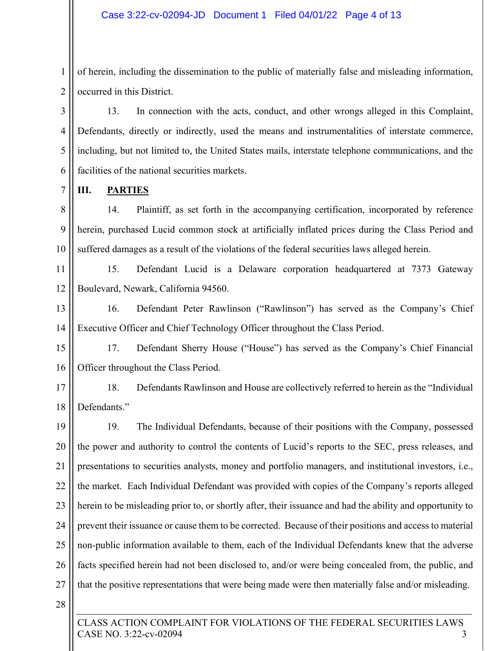#### Case 3:22-cv-02094-JD Document 1 Filed 04/01/22 Page 4 of 13

1 2 of herein, including the dissemination to the public of materially false and misleading information, occurred in this District.

3 4 5 6 13. In connection with the acts, conduct, and other wrongs alleged in this Complaint, Defendants, directly or indirectly, used the means and instrumentalities of interstate commerce, including, but not limited to, the United States mails, interstate telephone communications, and the facilities of the national securities markets.

7 **III. PARTIES** 

8 9 10 14. Plaintiff, as set forth in the accompanying certification, incorporated by reference herein, purchased Lucid common stock at artificially inflated prices during the Class Period and suffered damages as a result of the violations of the federal securities laws alleged herein.

11 12 15. Defendant Lucid is a Delaware corporation headquartered at 7373 Gateway Boulevard, Newark, California 94560.

13 14 16. Defendant Peter Rawlinson ("Rawlinson") has served as the Company's Chief Executive Officer and Chief Technology Officer throughout the Class Period.

15 16 17. Defendant Sherry House ("House") has served as the Company's Chief Financial Officer throughout the Class Period.

17 18 18. Defendants Rawlinson and House are collectively referred to herein as the "Individual Defendants."

19 20 21 22 23 24 25 26 27 19. The Individual Defendants, because of their positions with the Company, possessed the power and authority to control the contents of Lucid's reports to the SEC, press releases, and presentations to securities analysts, money and portfolio managers, and institutional investors, i.e., the market. Each Individual Defendant was provided with copies of the Company's reports alleged herein to be misleading prior to, or shortly after, their issuance and had the ability and opportunity to prevent their issuance or cause them to be corrected. Because of their positions and access to material non-public information available to them, each of the Individual Defendants knew that the adverse facts specified herein had not been disclosed to, and/or were being concealed from, the public, and that the positive representations that were being made were then materially false and/or misleading.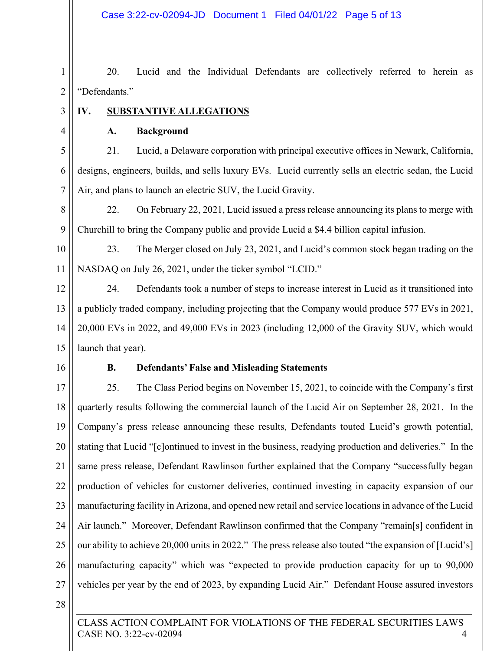1 2 20. Lucid and the Individual Defendants are collectively referred to herein as "Defendants."

3

4

# **IV. SUBSTANTIVE ALLEGATIONS**

**A. Background** 

5 6 7 21. Lucid, a Delaware corporation with principal executive offices in Newark, California, designs, engineers, builds, and sells luxury EVs. Lucid currently sells an electric sedan, the Lucid Air, and plans to launch an electric SUV, the Lucid Gravity.

8 9 22. On February 22, 2021, Lucid issued a press release announcing its plans to merge with Churchill to bring the Company public and provide Lucid a \$4.4 billion capital infusion.

10 11 23. The Merger closed on July 23, 2021, and Lucid's common stock began trading on the NASDAQ on July 26, 2021, under the ticker symbol "LCID."

12 13 14 15 24. Defendants took a number of steps to increase interest in Lucid as it transitioned into a publicly traded company, including projecting that the Company would produce 577 EVs in 2021, 20,000 EVs in 2022, and 49,000 EVs in 2023 (including 12,000 of the Gravity SUV, which would launch that year).

16

#### **B. Defendants' False and Misleading Statements**

17 18 19 20 21 22 23 24 25 26 27 25. The Class Period begins on November 15, 2021, to coincide with the Company's first quarterly results following the commercial launch of the Lucid Air on September 28, 2021. In the Company's press release announcing these results, Defendants touted Lucid's growth potential, stating that Lucid "[c]ontinued to invest in the business, readying production and deliveries." In the same press release, Defendant Rawlinson further explained that the Company "successfully began production of vehicles for customer deliveries, continued investing in capacity expansion of our manufacturing facility in Arizona, and opened new retail and service locations in advance of the Lucid Air launch." Moreover, Defendant Rawlinson confirmed that the Company "remain[s] confident in our ability to achieve 20,000 units in 2022." The press release also touted "the expansion of [Lucid's] manufacturing capacity" which was "expected to provide production capacity for up to 90,000 vehicles per year by the end of 2023, by expanding Lucid Air." Defendant House assured investors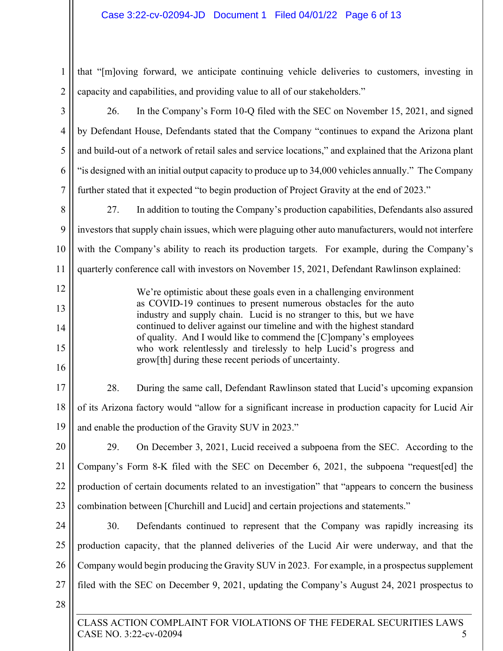### Case 3:22-cv-02094-JD Document 1 Filed 04/01/22 Page 6 of 13

- 2 that "[m]oving forward, we anticipate continuing vehicle deliveries to customers, investing in capacity and capabilities, and providing value to all of our stakeholders."
- 3 4 5 6 7 26. In the Company's Form 10-Q filed with the SEC on November 15, 2021, and signed by Defendant House, Defendants stated that the Company "continues to expand the Arizona plant and build-out of a network of retail sales and service locations," and explained that the Arizona plant "is designed with an initial output capacity to produce up to 34,000 vehicles annually." The Company further stated that it expected "to begin production of Project Gravity at the end of 2023."
- 8 9 10 11 27. In addition to touting the Company's production capabilities, Defendants also assured investors that supply chain issues, which were plaguing other auto manufacturers, would not interfere with the Company's ability to reach its production targets. For example, during the Company's quarterly conference call with investors on November 15, 2021, Defendant Rawlinson explained:
	- We're optimistic about these goals even in a challenging environment as COVID-19 continues to present numerous obstacles for the auto industry and supply chain. Lucid is no stranger to this, but we have continued to deliver against our timeline and with the highest standard of quality. And I would like to commend the [C]ompany's employees who work relentlessly and tirelessly to help Lucid's progress and grow[th] during these recent periods of uncertainty.
- 17 18 19 28. During the same call, Defendant Rawlinson stated that Lucid's upcoming expansion of its Arizona factory would "allow for a significant increase in production capacity for Lucid Air and enable the production of the Gravity SUV in 2023."
- 20 21 22 23 29. On December 3, 2021, Lucid received a subpoena from the SEC. According to the Company's Form 8-K filed with the SEC on December 6, 2021, the subpoena "request[ed] the production of certain documents related to an investigation" that "appears to concern the business combination between [Churchill and Lucid] and certain projections and statements."
- 24 25 26 27 30. Defendants continued to represent that the Company was rapidly increasing its production capacity, that the planned deliveries of the Lucid Air were underway, and that the Company would begin producing the Gravity SUV in 2023. For example, in a prospectus supplement filed with the SEC on December 9, 2021, updating the Company's August 24, 2021 prospectus to
- 28

1

12

13

14

15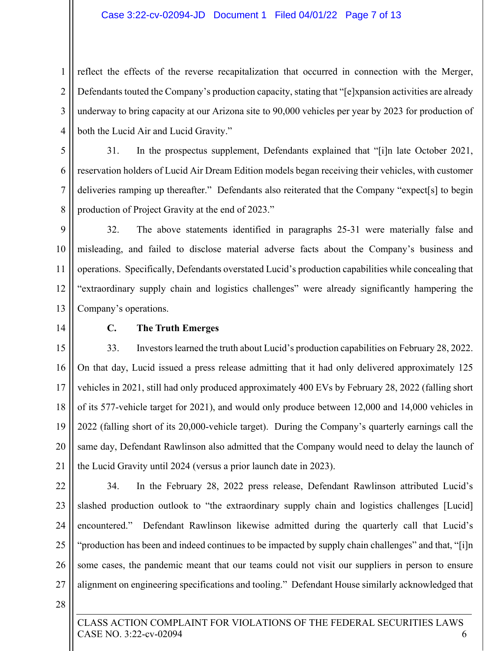#### Case 3:22-cv-02094-JD Document 1 Filed 04/01/22 Page 7 of 13

1 2 3 4 reflect the effects of the reverse recapitalization that occurred in connection with the Merger, Defendants touted the Company's production capacity, stating that "[e]xpansion activities are already underway to bring capacity at our Arizona site to 90,000 vehicles per year by 2023 for production of both the Lucid Air and Lucid Gravity."

5 6 7 8 31. In the prospectus supplement, Defendants explained that "[i]n late October 2021, reservation holders of Lucid Air Dream Edition models began receiving their vehicles, with customer deliveries ramping up thereafter." Defendants also reiterated that the Company "expect[s] to begin production of Project Gravity at the end of 2023."

9 10 11 12 13 32. The above statements identified in paragraphs 25-31 were materially false and misleading, and failed to disclose material adverse facts about the Company's business and operations. Specifically, Defendants overstated Lucid's production capabilities while concealing that "extraordinary supply chain and logistics challenges" were already significantly hampering the Company's operations.

14

#### **C. The Truth Emerges**

15 16 17 18 19 20 21 33. Investors learned the truth about Lucid's production capabilities on February 28, 2022. On that day, Lucid issued a press release admitting that it had only delivered approximately 125 vehicles in 2021, still had only produced approximately 400 EVs by February 28, 2022 (falling short of its 577-vehicle target for 2021), and would only produce between 12,000 and 14,000 vehicles in 2022 (falling short of its 20,000-vehicle target). During the Company's quarterly earnings call the same day, Defendant Rawlinson also admitted that the Company would need to delay the launch of the Lucid Gravity until 2024 (versus a prior launch date in 2023).

22 23 24 25 26 27 34. In the February 28, 2022 press release, Defendant Rawlinson attributed Lucid's slashed production outlook to "the extraordinary supply chain and logistics challenges [Lucid] encountered." Defendant Rawlinson likewise admitted during the quarterly call that Lucid's "production has been and indeed continues to be impacted by supply chain challenges" and that, "[i]n some cases, the pandemic meant that our teams could not visit our suppliers in person to ensure alignment on engineering specifications and tooling." Defendant House similarly acknowledged that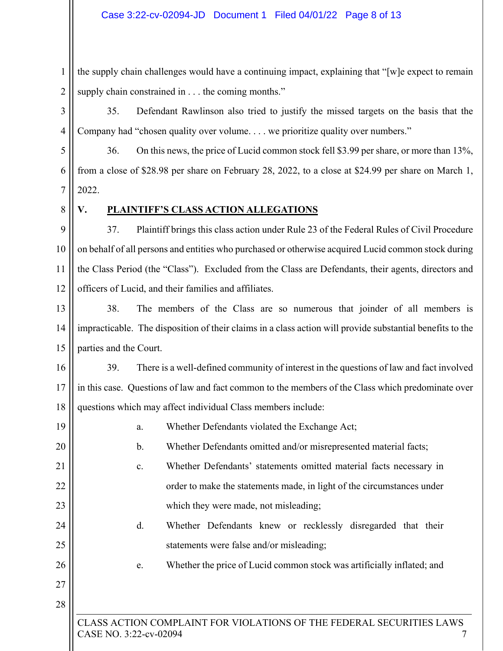#### Case 3:22-cv-02094-JD Document 1 Filed 04/01/22 Page 8 of 13

1 2 the supply chain challenges would have a continuing impact, explaining that "[w]e expect to remain supply chain constrained in . . . the coming months."

3 4 35. Defendant Rawlinson also tried to justify the missed targets on the basis that the Company had "chosen quality over volume. . . . we prioritize quality over numbers."

5 6 7 36. On this news, the price of Lucid common stock fell \$3.99 per share, or more than 13%, from a close of \$28.98 per share on February 28, 2022, to a close at \$24.99 per share on March 1, 2022.

8

### **V. PLAINTIFF'S CLASS ACTION ALLEGATIONS**

9 10 11 12 37. Plaintiff brings this class action under Rule 23 of the Federal Rules of Civil Procedure on behalf of all persons and entities who purchased or otherwise acquired Lucid common stock during the Class Period (the "Class"). Excluded from the Class are Defendants, their agents, directors and officers of Lucid, and their families and affiliates.

13 14 15 38. The members of the Class are so numerous that joinder of all members is impracticable. The disposition of their claims in a class action will provide substantial benefits to the parties and the Court.

16 17 18 39. There is a well-defined community of interest in the questions of law and fact involved in this case. Questions of law and fact common to the members of the Class which predominate over questions which may affect individual Class members include:

19 20 a. Whether Defendants violated the Exchange Act;

b. Whether Defendants omitted and/or misrepresented material facts;

- 21 22 23 c. Whether Defendants' statements omitted material facts necessary in order to make the statements made, in light of the circumstances under which they were made, not misleading;
	- d. Whether Defendants knew or recklessly disregarded that their statements were false and/or misleading;

e. Whether the price of Lucid common stock was artificially inflated; and

28

24

25

26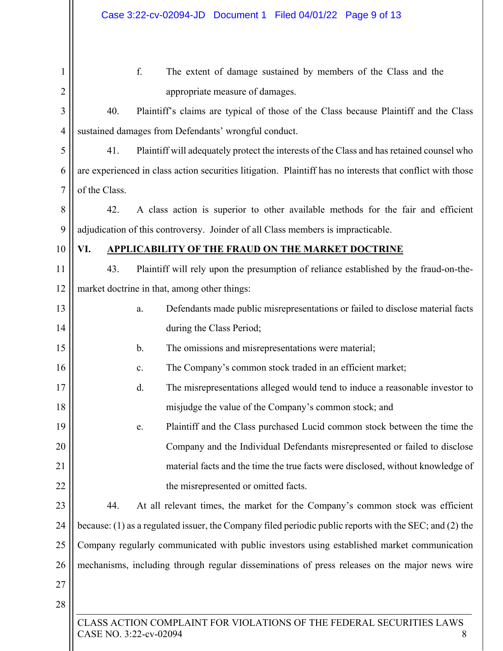| $\mathbf{1}$   | f.<br>The extent of damage sustained by members of the Class and the                                       |  |
|----------------|------------------------------------------------------------------------------------------------------------|--|
| $\overline{2}$ | appropriate measure of damages.                                                                            |  |
| 3              | Plaintiff's claims are typical of those of the Class because Plaintiff and the Class<br>40.                |  |
| $\overline{4}$ | sustained damages from Defendants' wrongful conduct.                                                       |  |
| 5              | Plaintiff will adequately protect the interests of the Class and has retained counsel who<br>41.           |  |
| 6              | are experienced in class action securities litigation. Plaintiff has no interests that conflict with those |  |
| 7              | of the Class.                                                                                              |  |
| 8              | 42.<br>A class action is superior to other available methods for the fair and efficient                    |  |
| 9              | adjudication of this controversy. Joinder of all Class members is impracticable.                           |  |
| 10             | VI.<br><b>APPLICABILITY OF THE FRAUD ON THE MARKET DOCTRINE</b>                                            |  |
| 11             | Plaintiff will rely upon the presumption of reliance established by the fraud-on-the-<br>43.               |  |
| 12             | market doctrine in that, among other things:                                                               |  |
| 13             | Defendants made public misrepresentations or failed to disclose material facts<br>a.                       |  |
| 14             | during the Class Period;                                                                                   |  |
| 15             | $\mathbf{b}$ .<br>The omissions and misrepresentations were material;                                      |  |
| 16             | The Company's common stock traded in an efficient market;<br>c.                                            |  |
| 17             | The misrepresentations alleged would tend to induce a reasonable investor to<br>d.                         |  |
| 18             | misjudge the value of the Company's common stock; and                                                      |  |
| 19             | Plaintiff and the Class purchased Lucid common stock between the time the<br>e.                            |  |
| 20             | Company and the Individual Defendants misrepresented or failed to disclose                                 |  |
| 21             | material facts and the time the true facts were disclosed, without knowledge of                            |  |
| 22             | the misrepresented or omitted facts.                                                                       |  |
| 23             | At all relevant times, the market for the Company's common stock was efficient<br>44.                      |  |
| 24             | because: (1) as a regulated issuer, the Company filed periodic public reports with the SEC; and (2) the    |  |
| 25             | Company regularly communicated with public investors using established market communication                |  |
| 26             | mechanisms, including through regular disseminations of press releases on the major news wire              |  |
| 27             |                                                                                                            |  |
| 28             |                                                                                                            |  |
|                | $\sqrt{10}$ TIONIC OF THE FEBER                                                                            |  |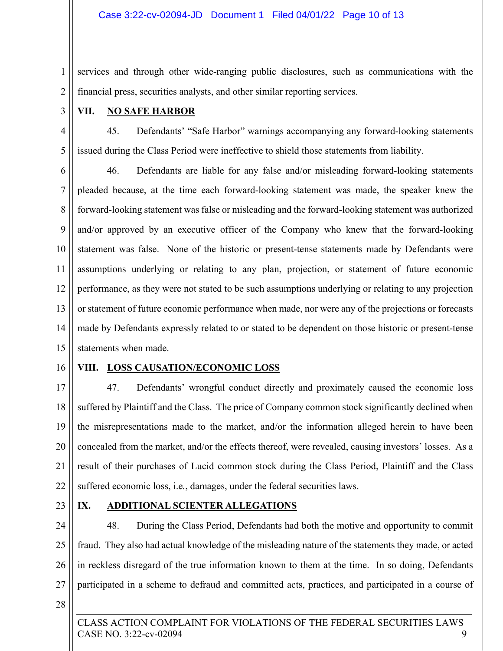1 2 services and through other wide-ranging public disclosures, such as communications with the financial press, securities analysts, and other similar reporting services.

3

# **VII. NO SAFE HARBOR**

4 5 45. Defendants' "Safe Harbor" warnings accompanying any forward-looking statements issued during the Class Period were ineffective to shield those statements from liability.

6 7 8 9 10 11 12 13 14 15 46. Defendants are liable for any false and/or misleading forward-looking statements pleaded because, at the time each forward-looking statement was made, the speaker knew the forward-looking statement was false or misleading and the forward-looking statement was authorized and/or approved by an executive officer of the Company who knew that the forward-looking statement was false. None of the historic or present-tense statements made by Defendants were assumptions underlying or relating to any plan, projection, or statement of future economic performance, as they were not stated to be such assumptions underlying or relating to any projection or statement of future economic performance when made, nor were any of the projections or forecasts made by Defendants expressly related to or stated to be dependent on those historic or present-tense statements when made.

16

## **VIII. LOSS CAUSATION/ECONOMIC LOSS**

17 18 19 20 21 22 47. Defendants' wrongful conduct directly and proximately caused the economic loss suffered by Plaintiff and the Class. The price of Company common stock significantly declined when the misrepresentations made to the market, and/or the information alleged herein to have been concealed from the market, and/or the effects thereof, were revealed, causing investors' losses. As a result of their purchases of Lucid common stock during the Class Period, Plaintiff and the Class suffered economic loss, i.e*.*, damages, under the federal securities laws.

23

## **IX. ADDITIONAL SCIENTER ALLEGATIONS**

24 25 26 27 48. During the Class Period, Defendants had both the motive and opportunity to commit fraud. They also had actual knowledge of the misleading nature of the statements they made, or acted in reckless disregard of the true information known to them at the time. In so doing, Defendants participated in a scheme to defraud and committed acts, practices, and participated in a course of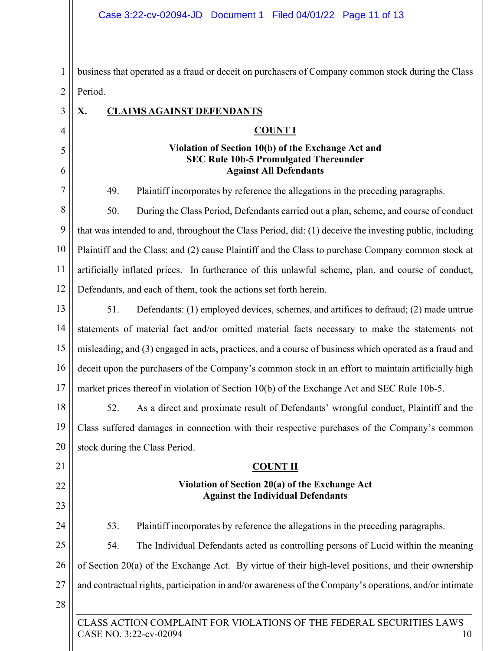1 2 Period. business that operated as a fraud or deceit on purchasers of Company common stock during the Class

| ∠              | I GIJOU.                                                                                                                            |  |
|----------------|-------------------------------------------------------------------------------------------------------------------------------------|--|
| 3              | X.<br><b>CLAIMS AGAINST DEFENDANTS</b>                                                                                              |  |
| $\overline{4}$ | <b>COUNT I</b>                                                                                                                      |  |
| 5<br>6         | Violation of Section 10(b) of the Exchange Act and<br><b>SEC Rule 10b-5 Promulgated Thereunder</b><br><b>Against All Defendants</b> |  |
| 7              | Plaintiff incorporates by reference the allegations in the preceding paragraphs.<br>49.                                             |  |
| 8              | During the Class Period, Defendants carried out a plan, scheme, and course of conduct<br>50.                                        |  |
| 9              | that was intended to and, throughout the Class Period, did: (1) deceive the investing public, including                             |  |
| 10             | Plaintiff and the Class; and (2) cause Plaintiff and the Class to purchase Company common stock at                                  |  |
| 11             | artificially inflated prices. In furtherance of this unlawful scheme, plan, and course of conduct,                                  |  |
| 12             | Defendants, and each of them, took the actions set forth herein.                                                                    |  |
| 13             | 51.<br>Defendants: (1) employed devices, schemes, and artifices to defraud; (2) made untrue                                         |  |
| 14             | statements of material fact and/or omitted material facts necessary to make the statements not                                      |  |
| 15             | misleading; and (3) engaged in acts, practices, and a course of business which operated as a fraud and                              |  |
| 16             | deceit upon the purchasers of the Company's common stock in an effort to maintain artificially high                                 |  |
| 17             | market prices thereof in violation of Section 10(b) of the Exchange Act and SEC Rule 10b-5.                                         |  |
| 18             | As a direct and proximate result of Defendants' wrongful conduct, Plaintiff and the<br>52.                                          |  |
| 19             | Class suffered damages in connection with their respective purchases of the Company's common                                        |  |
| 20             | stock during the Class Period.                                                                                                      |  |
| 21             | <b>COUNT II</b>                                                                                                                     |  |
| 22             | Violation of Section 20(a) of the Exchange Act                                                                                      |  |
| 23             | <b>Against the Individual Defendants</b>                                                                                            |  |
| 24             | 53.<br>Plaintiff incorporates by reference the allegations in the preceding paragraphs.                                             |  |
| 25             | 54.<br>The Individual Defendants acted as controlling persons of Lucid within the meaning                                           |  |
| 26             | of Section 20(a) of the Exchange Act. By virtue of their high-level positions, and their ownership                                  |  |
| 27             | and contractual rights, participation in and/or awareness of the Company's operations, and/or intimate                              |  |
| 28             |                                                                                                                                     |  |
|                | CLASS ACTION COMPLAINT FOR VIOLATIONS OF THE FEDERAL SECURITIES LAWS<br>CASE NO. 3:22-cv-02094<br>10                                |  |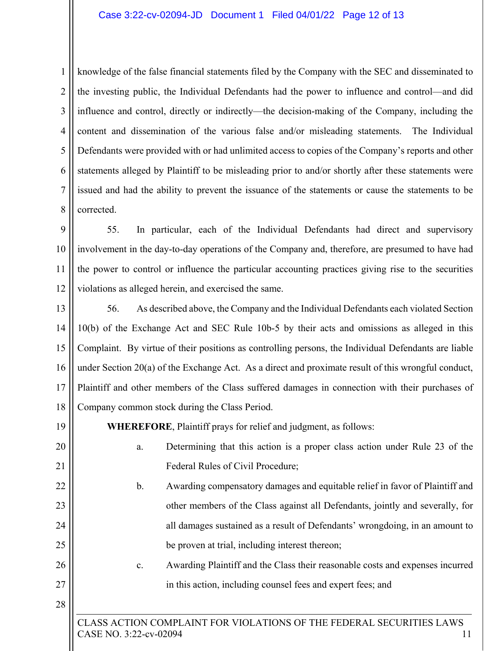1 2 3 4 5 6 7 8 knowledge of the false financial statements filed by the Company with the SEC and disseminated to the investing public, the Individual Defendants had the power to influence and control—and did influence and control, directly or indirectly—the decision-making of the Company, including the content and dissemination of the various false and/or misleading statements. The Individual Defendants were provided with or had unlimited access to copies of the Company's reports and other statements alleged by Plaintiff to be misleading prior to and/or shortly after these statements were issued and had the ability to prevent the issuance of the statements or cause the statements to be corrected.

9 10 11 12 55. In particular, each of the Individual Defendants had direct and supervisory involvement in the day-to-day operations of the Company and, therefore, are presumed to have had the power to control or influence the particular accounting practices giving rise to the securities violations as alleged herein, and exercised the same.

13 14 15 16 17 18 56. As described above, the Company and the Individual Defendants each violated Section 10(b) of the Exchange Act and SEC Rule 10b-5 by their acts and omissions as alleged in this Complaint. By virtue of their positions as controlling persons, the Individual Defendants are liable under Section 20(a) of the Exchange Act. As a direct and proximate result of this wrongful conduct, Plaintiff and other members of the Class suffered damages in connection with their purchases of Company common stock during the Class Period.

19

20

21

**WHEREFORE**, Plaintiff prays for relief and judgment, as follows:

- a. Determining that this action is a proper class action under Rule 23 of the Federal Rules of Civil Procedure;
- 22 23 24 25 b. Awarding compensatory damages and equitable relief in favor of Plaintiff and other members of the Class against all Defendants, jointly and severally, for all damages sustained as a result of Defendants' wrongdoing, in an amount to be proven at trial, including interest thereon;
- 26 27 c. Awarding Plaintiff and the Class their reasonable costs and expenses incurred in this action, including counsel fees and expert fees; and